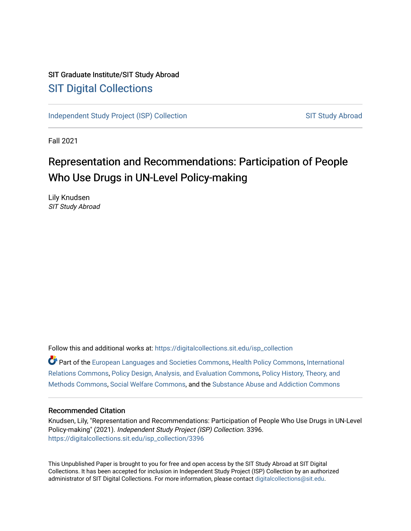# SIT Graduate Institute/SIT Study Abroad [SIT Digital Collections](https://digitalcollections.sit.edu/)

[Independent Study Project \(ISP\) Collection](https://digitalcollections.sit.edu/isp_collection) [SIT Study Abroad](https://digitalcollections.sit.edu/study_abroad) SIT Study Abroad

Fall 2021

# Representation and Recommendations: Participation of People Who Use Drugs in UN-Level Policy-making

Lily Knudsen SIT Study Abroad

Follow this and additional works at: [https://digitalcollections.sit.edu/isp\\_collection](https://digitalcollections.sit.edu/isp_collection?utm_source=digitalcollections.sit.edu%2Fisp_collection%2F3396&utm_medium=PDF&utm_campaign=PDFCoverPages) 

Part of the [European Languages and Societies Commons,](http://network.bepress.com/hgg/discipline/482?utm_source=digitalcollections.sit.edu%2Fisp_collection%2F3396&utm_medium=PDF&utm_campaign=PDFCoverPages) [Health Policy Commons,](http://network.bepress.com/hgg/discipline/395?utm_source=digitalcollections.sit.edu%2Fisp_collection%2F3396&utm_medium=PDF&utm_campaign=PDFCoverPages) [International](http://network.bepress.com/hgg/discipline/389?utm_source=digitalcollections.sit.edu%2Fisp_collection%2F3396&utm_medium=PDF&utm_campaign=PDFCoverPages) [Relations Commons,](http://network.bepress.com/hgg/discipline/389?utm_source=digitalcollections.sit.edu%2Fisp_collection%2F3396&utm_medium=PDF&utm_campaign=PDFCoverPages) [Policy Design, Analysis, and Evaluation Commons](http://network.bepress.com/hgg/discipline/1032?utm_source=digitalcollections.sit.edu%2Fisp_collection%2F3396&utm_medium=PDF&utm_campaign=PDFCoverPages), [Policy History, Theory, and](http://network.bepress.com/hgg/discipline/1036?utm_source=digitalcollections.sit.edu%2Fisp_collection%2F3396&utm_medium=PDF&utm_campaign=PDFCoverPages)  [Methods Commons,](http://network.bepress.com/hgg/discipline/1036?utm_source=digitalcollections.sit.edu%2Fisp_collection%2F3396&utm_medium=PDF&utm_campaign=PDFCoverPages) [Social Welfare Commons,](http://network.bepress.com/hgg/discipline/401?utm_source=digitalcollections.sit.edu%2Fisp_collection%2F3396&utm_medium=PDF&utm_campaign=PDFCoverPages) and the [Substance Abuse and Addiction Commons](http://network.bepress.com/hgg/discipline/710?utm_source=digitalcollections.sit.edu%2Fisp_collection%2F3396&utm_medium=PDF&utm_campaign=PDFCoverPages) 

### Recommended Citation

Knudsen, Lily, "Representation and Recommendations: Participation of People Who Use Drugs in UN-Level Policy-making" (2021). Independent Study Project (ISP) Collection. 3396. [https://digitalcollections.sit.edu/isp\\_collection/3396](https://digitalcollections.sit.edu/isp_collection/3396?utm_source=digitalcollections.sit.edu%2Fisp_collection%2F3396&utm_medium=PDF&utm_campaign=PDFCoverPages) 

This Unpublished Paper is brought to you for free and open access by the SIT Study Abroad at SIT Digital Collections. It has been accepted for inclusion in Independent Study Project (ISP) Collection by an authorized administrator of SIT Digital Collections. For more information, please contact [digitalcollections@sit.edu](mailto:digitalcollections@sit.edu).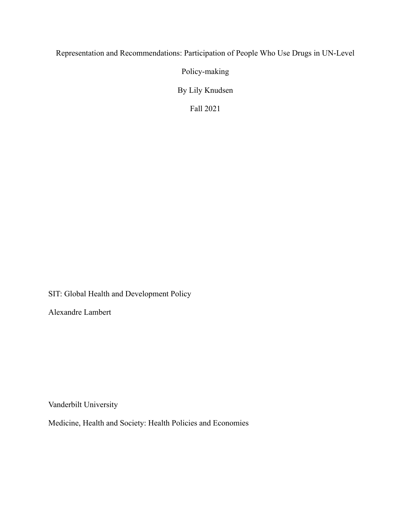# Representation and Recommendations: Participation of People Who Use Drugs in UN-Level

Policy-making

By Lily Knudsen

Fall 2021

SIT: Global Health and Development Policy

Alexandre Lambert

Vanderbilt University

Medicine, Health and Society: Health Policies and Economies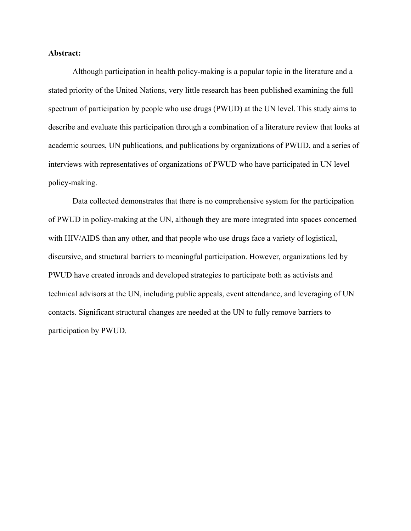### **Abstract:**

Although participation in health policy-making is a popular topic in the literature and a stated priority of the United Nations, very little research has been published examining the full spectrum of participation by people who use drugs (PWUD) at the UN level. This study aims to describe and evaluate this participation through a combination of a literature review that looks at academic sources, UN publications, and publications by organizations of PWUD, and a series of interviews with representatives of organizations of PWUD who have participated in UN level policy-making.

Data collected demonstrates that there is no comprehensive system for the participation of PWUD in policy-making at the UN, although they are more integrated into spaces concerned with HIV/AIDS than any other, and that people who use drugs face a variety of logistical, discursive, and structural barriers to meaningful participation. However, organizations led by PWUD have created inroads and developed strategies to participate both as activists and technical advisors at the UN, including public appeals, event attendance, and leveraging of UN contacts. Significant structural changes are needed at the UN to fully remove barriers to participation by PWUD.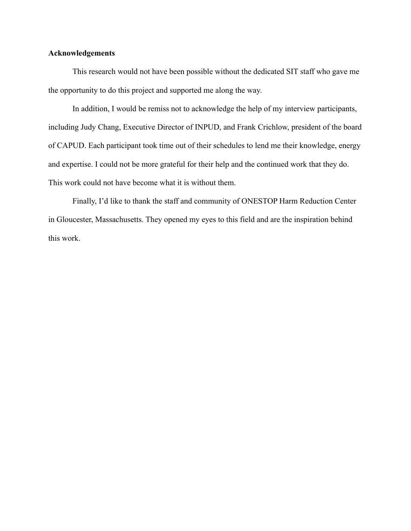## **Acknowledgements**

This research would not have been possible without the dedicated SIT staff who gave me the opportunity to do this project and supported me along the way.

In addition, I would be remiss not to acknowledge the help of my interview participants, including Judy Chang, Executive Director of INPUD, and Frank Crichlow, president of the board of CAPUD. Each participant took time out of their schedules to lend me their knowledge, energy and expertise. I could not be more grateful for their help and the continued work that they do. This work could not have become what it is without them.

Finally, I'd like to thank the staff and community of ONESTOP Harm Reduction Center in Gloucester, Massachusetts. They opened my eyes to this field and are the inspiration behind this work.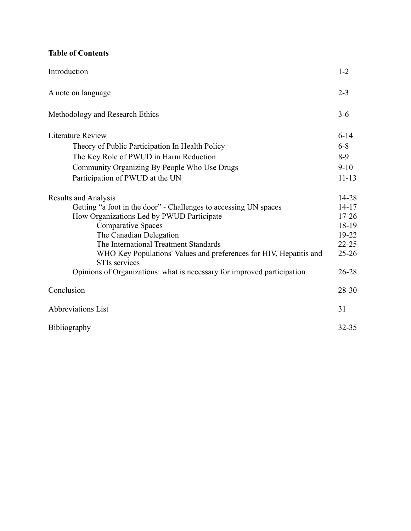# **Table of Contents**

| Introduction                                                                               | $1 - 2$   |
|--------------------------------------------------------------------------------------------|-----------|
| A note on language                                                                         | $2 - 3$   |
| Methodology and Research Ethics                                                            | $3 - 6$   |
| <b>Literature Review</b>                                                                   | $6-14$    |
| Theory of Public Participation In Health Policy                                            | $6 - 8$   |
| The Key Role of PWUD in Harm Reduction                                                     | $8-9$     |
| Community Organizing By People Who Use Drugs                                               | $9-10$    |
| Participation of PWUD at the UN                                                            | $11 - 13$ |
| <b>Results and Analysis</b>                                                                | 14-28     |
| Getting "a foot in the door" - Challenges to accessing UN spaces                           | $14 - 17$ |
| How Organizations Led by PWUD Participate                                                  | $17 - 26$ |
| <b>Comparative Spaces</b>                                                                  | 18-19     |
| The Canadian Delegation                                                                    | 19-22     |
| The International Treatment Standards                                                      | $22 - 25$ |
| WHO Key Populations' Values and preferences for HIV, Hepatitis and<br><b>STIs services</b> | $25 - 26$ |
| Opinions of Organizations: what is necessary for improved participation                    | $26 - 28$ |
| Conclusion                                                                                 | 28-30     |
| <b>Abbreviations List</b>                                                                  | 31        |
| Bibliography                                                                               | 32-35     |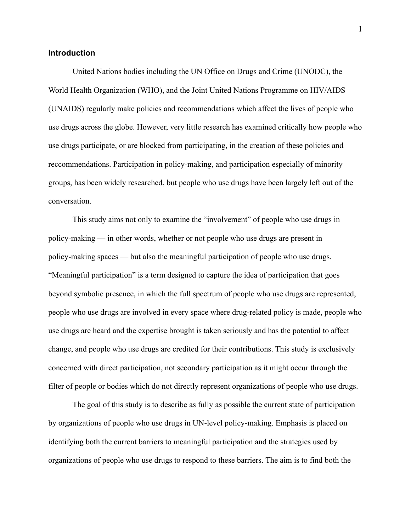# **Introduction**

United Nations bodies including the UN Office on Drugs and Crime (UNODC), the World Health Organization (WHO), and the Joint United Nations Programme on HIV/AIDS (UNAIDS) regularly make policies and recommendations which affect the lives of people who use drugs across the globe. However, very little research has examined critically how people who use drugs participate, or are blocked from participating, in the creation of these policies and reccommendations. Participation in policy-making, and participation especially of minority groups, has been widely researched, but people who use drugs have been largely left out of the conversation.

This study aims not only to examine the "involvement" of people who use drugs in policy-making –– in other words, whether or not people who use drugs are present in policy-making spaces –– but also the meaningful participation of people who use drugs. "Meaningful participation" is a term designed to capture the idea of participation that goes beyond symbolic presence, in which the full spectrum of people who use drugs are represented, people who use drugs are involved in every space where drug-related policy is made, people who use drugs are heard and the expertise brought is taken seriously and has the potential to affect change, and people who use drugs are credited for their contributions. This study is exclusively concerned with direct participation, not secondary participation as it might occur through the filter of people or bodies which do not directly represent organizations of people who use drugs.

The goal of this study is to describe as fully as possible the current state of participation by organizations of people who use drugs in UN-level policy-making. Emphasis is placed on identifying both the current barriers to meaningful participation and the strategies used by organizations of people who use drugs to respond to these barriers. The aim is to find both the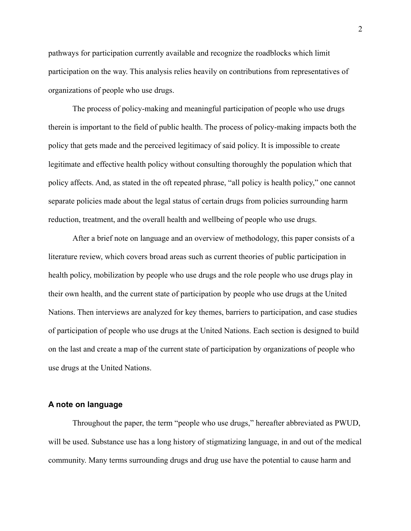pathways for participation currently available and recognize the roadblocks which limit participation on the way. This analysis relies heavily on contributions from representatives of organizations of people who use drugs.

The process of policy-making and meaningful participation of people who use drugs therein is important to the field of public health. The process of policy-making impacts both the policy that gets made and the perceived legitimacy of said policy. It is impossible to create legitimate and effective health policy without consulting thoroughly the population which that policy affects. And, as stated in the oft repeated phrase, "all policy is health policy," one cannot separate policies made about the legal status of certain drugs from policies surrounding harm reduction, treatment, and the overall health and wellbeing of people who use drugs.

After a brief note on language and an overview of methodology, this paper consists of a literature review, which covers broad areas such as current theories of public participation in health policy, mobilization by people who use drugs and the role people who use drugs play in their own health, and the current state of participation by people who use drugs at the United Nations. Then interviews are analyzed for key themes, barriers to participation, and case studies of participation of people who use drugs at the United Nations. Each section is designed to build on the last and create a map of the current state of participation by organizations of people who use drugs at the United Nations.

#### **A note on language**

Throughout the paper, the term "people who use drugs," hereafter abbreviated as PWUD, will be used. Substance use has a long history of stigmatizing language, in and out of the medical community. Many terms surrounding drugs and drug use have the potential to cause harm and

2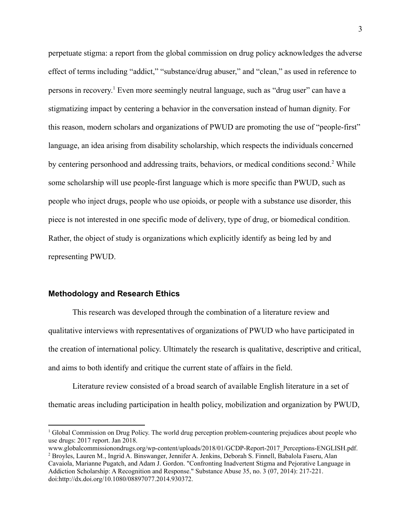perpetuate stigma: a report from the global commission on drug policy acknowledges the adverse effect of terms including "addict," "substance/drug abuser," and "clean," as used in reference to persons in recovery. <sup>1</sup> Even more seemingly neutral language, such as "drug user" can have a stigmatizing impact by centering a behavior in the conversation instead of human dignity. For this reason, modern scholars and organizations of PWUD are promoting the use of "people-first" language, an idea arising from disability scholarship, which respects the individuals concerned by centering personhood and addressing traits, behaviors, or medical conditions second.<sup>2</sup> While some scholarship will use people-first language which is more specific than PWUD, such as people who inject drugs, people who use opioids, or people with a substance use disorder, this piece is not interested in one specific mode of delivery, type of drug, or biomedical condition. Rather, the object of study is organizations which explicitly identify as being led by and representing PWUD.

#### **Methodology and Research Ethics**

This research was developed through the combination of a literature review and qualitative interviews with representatives of organizations of PWUD who have participated in the creation of international policy. Ultimately the research is qualitative, descriptive and critical, and aims to both identify and critique the current state of affairs in the field.

Literature review consisted of a broad search of available English literature in a set of thematic areas including participation in health policy, mobilization and organization by PWUD,

<sup>1</sup> Global Commission on Drug Policy. The world drug perception problem-countering prejudices about people who use drugs: 2017 report. Jan 2018.

<sup>2</sup> Broyles, Lauren M., Ingrid A. Binswanger, Jennifer A. Jenkins, Deborah S. Finnell, Babalola Faseru, Alan Cavaiola, Marianne Pugatch, and Adam J. Gordon. "Confronting Inadvertent Stigma and Pejorative Language in www.globalcommissionondrugs.org/wp-content/uploads/2018/01/GCDP-Report-2017\_Perceptions-ENGLISH.pdf.

Addiction Scholarship: A Recognition and Response." Substance Abuse 35, no. 3 (07, 2014): 217-221. doi:http://dx.doi.org/10.1080/08897077.2014.930372.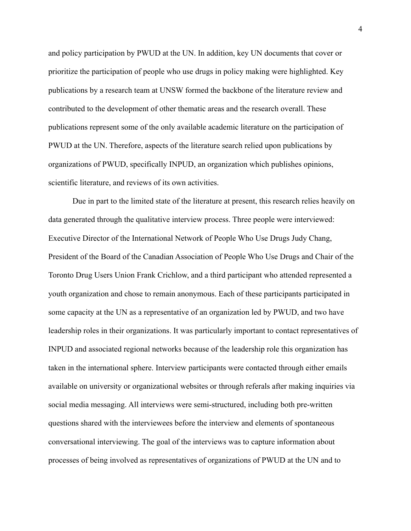and policy participation by PWUD at the UN. In addition, key UN documents that cover or prioritize the participation of people who use drugs in policy making were highlighted. Key publications by a research team at UNSW formed the backbone of the literature review and contributed to the development of other thematic areas and the research overall. These publications represent some of the only available academic literature on the participation of PWUD at the UN. Therefore, aspects of the literature search relied upon publications by organizations of PWUD, specifically INPUD, an organization which publishes opinions, scientific literature, and reviews of its own activities.

Due in part to the limited state of the literature at present, this research relies heavily on data generated through the qualitative interview process. Three people were interviewed: Executive Director of the International Network of People Who Use Drugs Judy Chang, President of the Board of the Canadian Association of People Who Use Drugs and Chair of the Toronto Drug Users Union Frank Crichlow, and a third participant who attended represented a youth organization and chose to remain anonymous. Each of these participants participated in some capacity at the UN as a representative of an organization led by PWUD, and two have leadership roles in their organizations. It was particularly important to contact representatives of INPUD and associated regional networks because of the leadership role this organization has taken in the international sphere. Interview participants were contacted through either emails available on university or organizational websites or through referals after making inquiries via social media messaging. All interviews were semi-structured, including both pre-written questions shared with the interviewees before the interview and elements of spontaneous conversational interviewing. The goal of the interviews was to capture information about processes of being involved as representatives of organizations of PWUD at the UN and to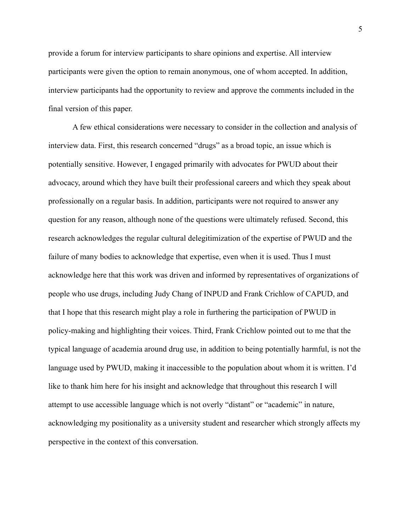provide a forum for interview participants to share opinions and expertise. All interview participants were given the option to remain anonymous, one of whom accepted. In addition, interview participants had the opportunity to review and approve the comments included in the final version of this paper.

A few ethical considerations were necessary to consider in the collection and analysis of interview data. First, this research concerned "drugs" as a broad topic, an issue which is potentially sensitive. However, I engaged primarily with advocates for PWUD about their advocacy, around which they have built their professional careers and which they speak about professionally on a regular basis. In addition, participants were not required to answer any question for any reason, although none of the questions were ultimately refused. Second, this research acknowledges the regular cultural delegitimization of the expertise of PWUD and the failure of many bodies to acknowledge that expertise, even when it is used. Thus I must acknowledge here that this work was driven and informed by representatives of organizations of people who use drugs, including Judy Chang of INPUD and Frank Crichlow of CAPUD, and that I hope that this research might play a role in furthering the participation of PWUD in policy-making and highlighting their voices. Third, Frank Crichlow pointed out to me that the typical language of academia around drug use, in addition to being potentially harmful, is not the language used by PWUD, making it inaccessible to the population about whom it is written. I'd like to thank him here for his insight and acknowledge that throughout this research I will attempt to use accessible language which is not overly "distant" or "academic" in nature, acknowledging my positionality as a university student and researcher which strongly affects my perspective in the context of this conversation.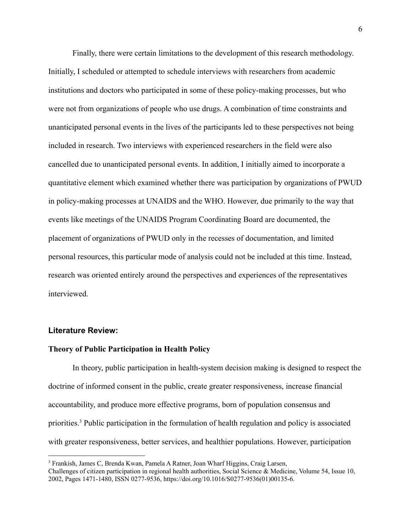Finally, there were certain limitations to the development of this research methodology. Initially, I scheduled or attempted to schedule interviews with researchers from academic institutions and doctors who participated in some of these policy-making processes, but who were not from organizations of people who use drugs. A combination of time constraints and unanticipated personal events in the lives of the participants led to these perspectives not being included in research. Two interviews with experienced researchers in the field were also cancelled due to unanticipated personal events. In addition, I initially aimed to incorporate a quantitative element which examined whether there was participation by organizations of PWUD in policy-making processes at UNAIDS and the WHO. However, due primarily to the way that events like meetings of the UNAIDS Program Coordinating Board are documented, the placement of organizations of PWUD only in the recesses of documentation, and limited personal resources, this particular mode of analysis could not be included at this time. Instead, research was oriented entirely around the perspectives and experiences of the representatives interviewed.

### **Literature Review:**

#### **Theory of Public Participation in Health Policy**

In theory, public participation in health-system decision making is designed to respect the doctrine of informed consent in the public, create greater responsiveness, increase financial accountability, and produce more effective programs, born of population consensus and priorities.<sup>3</sup> Public participation in the formulation of health regulation and policy is associated with greater responsiveness, better services, and healthier populations. However, participation

<sup>3</sup> Frankish, James C, Brenda Kwan, Pamela A Ratner, Joan Wharf Higgins, Craig Larsen, Challenges of citizen participation in regional health authorities, Social Science & Medicine, Volume 54, Issue 10, 2002, Pages 1471-1480, ISSN 0277-9536, https://doi.org/10.1016/S0277-9536(01)00135-6.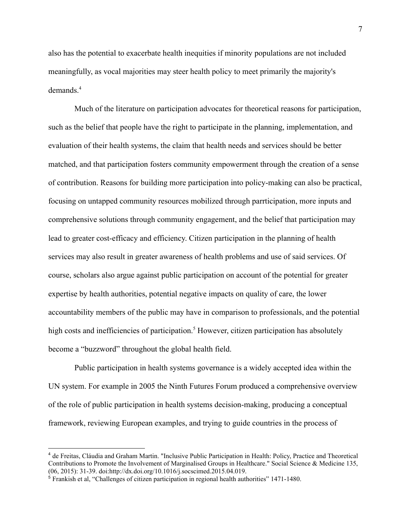also has the potential to exacerbate health inequities if minority populations are not included meaningfully, as vocal majorities may steer health policy to meet primarily the majority's demands.<sup>4</sup>

Much of the literature on participation advocates for theoretical reasons for participation, such as the belief that people have the right to participate in the planning, implementation, and evaluation of their health systems, the claim that health needs and services should be better matched, and that participation fosters community empowerment through the creation of a sense of contribution. Reasons for building more participation into policy-making can also be practical, focusing on untapped community resources mobilized through parrticipation, more inputs and comprehensive solutions through community engagement, and the belief that participation may lead to greater cost-efficacy and efficiency. Citizen participation in the planning of health services may also result in greater awareness of health problems and use of said services. Of course, scholars also argue against public participation on account of the potential for greater expertise by health authorities, potential negative impacts on quality of care, the lower accountability members of the public may have in comparison to professionals, and the potential high costs and inefficiencies of participation.<sup>5</sup> However, citizen participation has absolutely become a "buzzword" throughout the global health field.

Public participation in health systems governance is a widely accepted idea within the UN system. For example in 2005 the Ninth Futures Forum produced a comprehensive overview of the role of public participation in health systems decision-making, producing a conceptual framework, reviewing European examples, and trying to guide countries in the process of

<sup>4</sup> de Freitas, Cláudia and Graham Martin. "Inclusive Public Participation in Health: Policy, Practice and Theoretical Contributions to Promote the Involvement of Marginalised Groups in Healthcare." Social Science & Medicine 135, (06, 2015): 31-39. doi:http://dx.doi.org/10.1016/j.socscimed.2015.04.019.

<sup>5</sup> Frankish et al, "Challenges of citizen participation in regional health authorities" 1471-1480.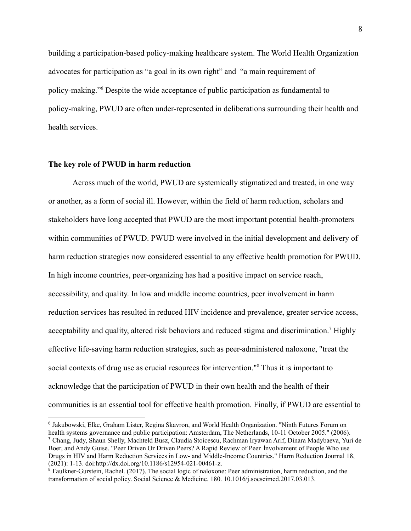building a participation-based policy-making healthcare system. The World Health Organization advocates for participation as "a goal in its own right" and "a main requirement of policy-making."<sup>6</sup> Despite the wide acceptance of public participation as fundamental to policy-making, PWUD are often under-represented in deliberations surrounding their health and health services.

#### **The key role of PWUD in harm reduction**

Across much of the world, PWUD are systemically stigmatized and treated, in one way or another, as a form of social ill. However, within the field of harm reduction, scholars and stakeholders have long accepted that PWUD are the most important potential health-promoters within communities of PWUD. PWUD were involved in the initial development and delivery of harm reduction strategies now considered essential to any effective health promotion for PWUD. In high income countries, peer-organizing has had a positive impact on service reach, accessibility, and quality. In low and middle income countries, peer involvement in harm reduction services has resulted in reduced HIV incidence and prevalence, greater service access, acceptability and quality, altered risk behaviors and reduced stigma and discrimination.<sup>7</sup> Highly effective life-saving harm reduction strategies, such as peer-administered naloxone, "treat the social contexts of drug use as crucial resources for intervention."<sup>8</sup> Thus it is important to acknowledge that the participation of PWUD in their own health and the health of their communities is an essential tool for effective health promotion. Finally, if PWUD are essential to

<sup>7</sup> Chang, Judy, Shaun Shelly, Machteld Busz, Claudia Stoicescu, Rachman Iryawan Arif, Dinara Madybaeva, Yuri de Boer, and Andy Guise. "Peer Driven Or Driven Peers? A Rapid Review of Peer Involvement of People Who use Drugs in HIV and Harm Reduction Services in Low- and Middle-Income Countries." Harm Reduction Journal 18, (2021): 1-13. doi:http://dx.doi.org/10.1186/s12954-021-00461-z. <sup>6</sup> Jakubowski, Elke, Graham Lister, Regina Skavron, and World Health Organization. "Ninth Futures Forum on health systems governance and public participation: Amsterdam, The Netherlands, 10-11 October 2005." (2006).

<sup>&</sup>lt;sup>8</sup> Faulkner-Gurstein, Rachel. (2017). The social logic of naloxone: Peer administration, harm reduction, and the transformation of social policy. Social Science & Medicine. 180. 10.1016/j.socscimed.2017.03.013.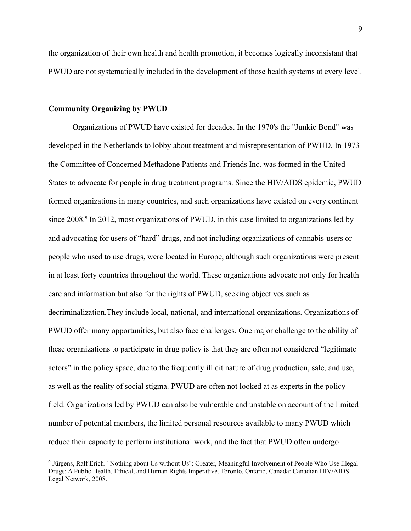the organization of their own health and health promotion, it becomes logically inconsistant that PWUD are not systematically included in the development of those health systems at every level.

#### **Community Organizing by PWUD**

Organizations of PWUD have existed for decades. In the 1970's the "Junkie Bond" was developed in the Netherlands to lobby about treatment and misrepresentation of PWUD. In 1973 the Committee of Concerned Methadone Patients and Friends Inc. was formed in the United States to advocate for people in drug treatment programs. Since the HIV/AIDS epidemic, PWUD formed organizations in many countries, and such organizations have existed on every continent since 2008.<sup>9</sup> In 2012, most organizations of PWUD, in this case limited to organizations led by and advocating for users of "hard" drugs, and not including organizations of cannabis-users or people who used to use drugs, were located in Europe, although such organizations were present in at least forty countries throughout the world. These organizations advocate not only for health care and information but also for the rights of PWUD, seeking objectives such as decriminalization.They include local, national, and international organizations. Organizations of PWUD offer many opportunities, but also face challenges. One major challenge to the ability of these organizations to participate in drug policy is that they are often not considered "legitimate actors" in the policy space, due to the frequently illicit nature of drug production, sale, and use, as well as the reality of social stigma. PWUD are often not looked at as experts in the policy field. Organizations led by PWUD can also be vulnerable and unstable on account of the limited number of potential members, the limited personal resources available to many PWUD which reduce their capacity to perform institutional work, and the fact that PWUD often undergo

<sup>9</sup> Jürgens, Ralf Erich. "Nothing about Us without Us": Greater, Meaningful Involvement of People Who Use Illegal Drugs: A Public Health, Ethical, and Human Rights Imperative. Toronto, Ontario, Canada: Canadian HIV/AIDS Legal Network, 2008.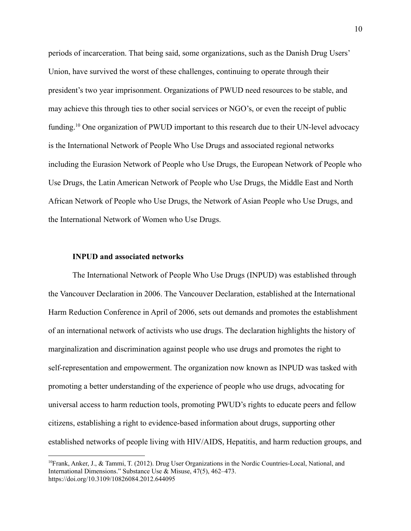periods of incarceration. That being said, some organizations, such as the Danish Drug Users' Union, have survived the worst of these challenges, continuing to operate through their president's two year imprisonment. Organizations of PWUD need resources to be stable, and may achieve this through ties to other social services or NGO's, or even the receipt of public funding.<sup>10</sup> One organization of PWUD important to this research due to their UN-level advocacy is the International Network of People Who Use Drugs and associated regional networks including the Eurasion Network of People who Use Drugs, the European Network of People who Use Drugs, the Latin American Network of People who Use Drugs, the Middle East and North African Network of People who Use Drugs, the Network of Asian People who Use Drugs, and the International Network of Women who Use Drugs.

#### **INPUD and associated networks**

The International Network of People Who Use Drugs (INPUD) was established through the Vancouver Declaration in 2006. The Vancouver Declaration, established at the International Harm Reduction Conference in April of 2006, sets out demands and promotes the establishment of an international network of activists who use drugs. The declaration highlights the history of marginalization and discrimination against people who use drugs and promotes the right to self-representation and empowerment. The organization now known as INPUD was tasked with promoting a better understanding of the experience of people who use drugs, advocating for universal access to harm reduction tools, promoting PWUD's rights to educate peers and fellow citizens, establishing a right to evidence-based information about drugs, supporting other established networks of people living with HIV/AIDS, Hepatitis, and harm reduction groups, and

<sup>10</sup>Frank, Anker, J., & Tammi, T. (2012). Drug User Organizations in the Nordic Countries-Local, National, and International Dimensions." Substance Use & Misuse, 47(5), 462–473. https://doi.org/10.3109/10826084.2012.644095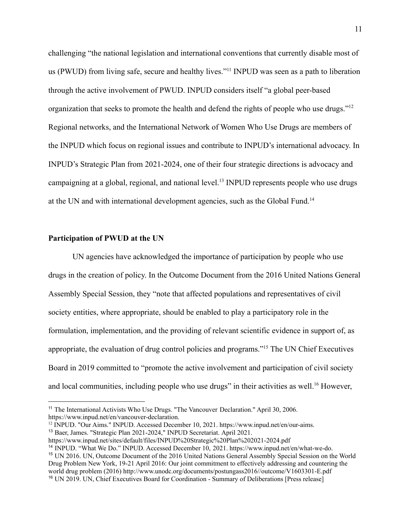challenging "the national legislation and international conventions that currently disable most of us (PWUD) from living safe, secure and healthy lives."<sup>11</sup> INPUD was seen as a path to liberation through the active involvement of PWUD. INPUD considers itself "a global peer-based organization that seeks to promote the health and defend the rights of people who use drugs."<sup>12</sup> Regional networks, and the International Network of Women Who Use Drugs are members of the INPUD which focus on regional issues and contribute to INPUD's international advocacy. In INPUD's Strategic Plan from 2021-2024, one of their four strategic directions is advocacy and campaigning at a global, regional, and national level.<sup>13</sup> INPUD represents people who use drugs at the UN and with international development agencies, such as the Global Fund.<sup>14</sup>

#### **Participation of PWUD at the UN**

UN agencies have acknowledged the importance of participation by people who use drugs in the creation of policy. In the Outcome Document from the 2016 United Nations General Assembly Special Session, they "note that affected populations and representatives of civil society entities, where appropriate, should be enabled to play a participatory role in the formulation, implementation, and the providing of relevant scientific evidence in support of, as appropriate, the evaluation of drug control policies and programs."<sup>15</sup> The UN Chief Executives Board in 2019 committed to "promote the active involvement and participation of civil society and local communities, including people who use drugs" in their activities as well.<sup>16</sup> However.

<sup>&</sup>lt;sup>11</sup> The International Activists Who Use Drugs. "The Vancouver Declaration." April 30, 2006. https://www.inpud.net/en/vancouver-declaration.

<sup>13</sup> Baer, James. "Strategic Plan 2021-2024," INPUD Secretariat. April 2021. <sup>12</sup> INPUD. "Our Aims." INPUD. Accessed December 10, 2021. https://www.inpud.net/en/our-aims.

https://www.inpud.net/sites/default/files/INPUD%20Strategic%20Plan%202021-2024.pdf

<sup>16</sup> UN 2019. UN, Chief Executives Board for Coordination - Summary of Deliberations [Press release] <sup>15</sup> UN 2016. UN, Outcome Document of the 2016 United Nations General Assembly Special Session on the World Drug Problem New York, 19-21 April 2016: Our joint commitment to effectively addressing and countering the world drug problem (2016) http://www.unodc.org/documents/postungass2016//outcome/V1603301-E.pdf <sup>14</sup> INPUD. "What We Do." INPUD. Accessed December 10, 2021. https://www.inpud.net/en/what-we-do.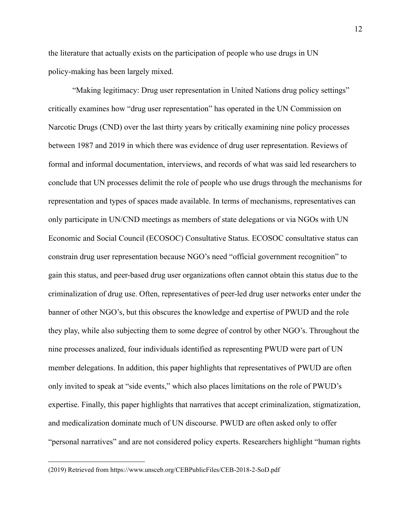the literature that actually exists on the participation of people who use drugs in UN policy-making has been largely mixed.

"Making legitimacy: Drug user representation in United Nations drug policy settings" critically examines how "drug user representation" has operated in the UN Commission on Narcotic Drugs (CND) over the last thirty years by critically examining nine policy processes between 1987 and 2019 in which there was evidence of drug user representation. Reviews of formal and informal documentation, interviews, and records of what was said led researchers to conclude that UN processes delimit the role of people who use drugs through the mechanisms for representation and types of spaces made available. In terms of mechanisms, representatives can only participate in UN/CND meetings as members of state delegations or via NGOs with UN Economic and Social Council (ECOSOC) Consultative Status. ECOSOC consultative status can constrain drug user representation because NGO's need "official government recognition" to gain this status, and peer-based drug user organizations often cannot obtain this status due to the criminalization of drug use. Often, representatives of peer-led drug user networks enter under the banner of other NGO's, but this obscures the knowledge and expertise of PWUD and the role they play, while also subjecting them to some degree of control by other NGO's. Throughout the nine processes analized, four individuals identified as representing PWUD were part of UN member delegations. In addition, this paper highlights that representatives of PWUD are often only invited to speak at "side events," which also places limitations on the role of PWUD's expertise. Finally, this paper highlights that narratives that accept criminalization, stigmatization, and medicalization dominate much of UN discourse. PWUD are often asked only to offer "personal narratives" and are not considered policy experts. Researchers highlight "human rights

<sup>(2019)</sup> Retrieved from https://www.unsceb.org/CEBPublicFiles/CEB-2018-2-SoD.pdf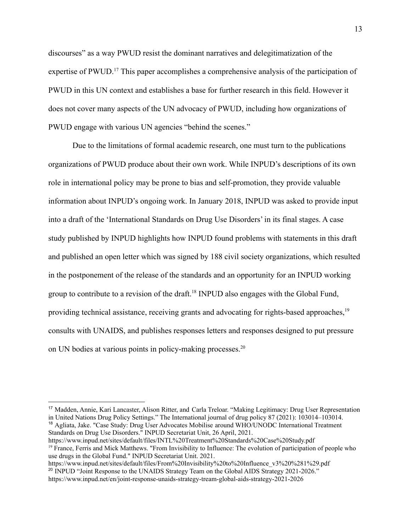discourses" as a way PWUD resist the dominant narratives and delegitimatization of the expertise of PWUD.<sup>17</sup> This paper accomplishes a comprehensive analysis of the participation of PWUD in this UN context and establishes a base for further research in this field. However it does not cover many aspects of the UN advocacy of PWUD, including how organizations of PWUD engage with various UN agencies "behind the scenes."

Due to the limitations of formal academic research, one must turn to the publications organizations of PWUD produce about their own work. While INPUD's descriptions of its own role in international policy may be prone to bias and self-promotion, they provide valuable information about INPUD's ongoing work. In January 2018, INPUD was asked to provide input into a draft of the 'International Standards on Drug Use Disorders' in its final stages. A case study published by INPUD highlights how INPUD found problems with statements in this draft and published an open letter which was signed by 188 civil society organizations, which resulted in the postponement of the release of the standards and an opportunity for an INPUD working group to contribute to a revision of the draft.<sup>18</sup> INPUD also engages with the Global Fund, providing technical assistance, receiving grants and advocating for rights-based approaches,<sup>19</sup> consults with UNAIDS, and publishes responses letters and responses designed to put pressure on UN bodies at various points in policy-making processes.<sup>20</sup>

<sup>19</sup> France, Ferris and Mick Matthews. "From Invisibility to Influence: The evolution of participation of people who use drugs in the Global Fund." INPUD Secretariat Unit. 2021. https://www.inpud.net/sites/default/files/INTL%20Treatment%20Standards%20Case%20Study.pdf

<sup>18</sup> Agliata, Jake. "Case Study: Drug User Advocates Mobilise around WHO/UNODC International Treatment Standards on Drug Use Disorders." INPUD Secretariat Unit, 26 April, 2021. <sup>17</sup> Madden, Annie, Kari Lancaster, Alison Ritter, and Carla Treloar. "Making Legitimacy: Drug User Representation in United Nations Drug Policy Settings." The International journal of drug policy 87 (2021): 103014–103014.

<sup>&</sup>lt;sup>20</sup> INPUD "Joint Response to the UNAIDS Strategy Team on the Global AIDS Strategy 2021-2026." https://www.inpud.net/en/joint-response-unaids-strategy-tream-global-aids-strategy-2021-2026 https://www.inpud.net/sites/default/files/From%20Invisibility%20to%20Influence\_v3%20%281%29.pdf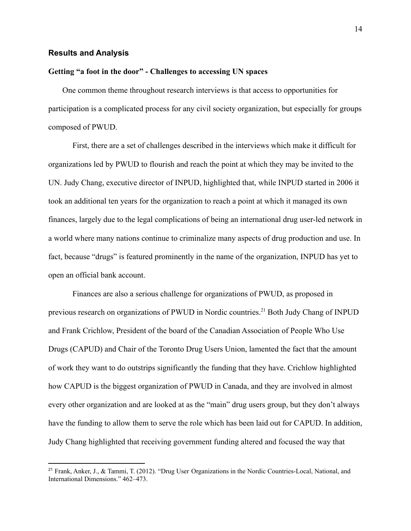#### **Results and Analysis**

#### **Getting "a foot in the door" - Challenges to accessing UN spaces**

One common theme throughout research interviews is that access to opportunities for participation is a complicated process for any civil society organization, but especially for groups composed of PWUD.

First, there are a set of challenges described in the interviews which make it difficult for organizations led by PWUD to flourish and reach the point at which they may be invited to the UN. Judy Chang, executive director of INPUD, highlighted that, while INPUD started in 2006 it took an additional ten years for the organization to reach a point at which it managed its own finances, largely due to the legal complications of being an international drug user-led network in a world where many nations continue to criminalize many aspects of drug production and use. In fact, because "drugs" is featured prominently in the name of the organization, INPUD has yet to open an official bank account.

Finances are also a serious challenge for organizations of PWUD, as proposed in previous research on organizations of PWUD in Nordic countries.<sup>21</sup> Both Judy Chang of INPUD and Frank Crichlow, President of the board of the Canadian Association of People Who Use Drugs (CAPUD) and Chair of the Toronto Drug Users Union, lamented the fact that the amount of work they want to do outstrips significantly the funding that they have. Crichlow highlighted how CAPUD is the biggest organization of PWUD in Canada, and they are involved in almost every other organization and are looked at as the "main" drug users group, but they don't always have the funding to allow them to serve the role which has been laid out for CAPUD. In addition, Judy Chang highlighted that receiving government funding altered and focused the way that

<sup>&</sup>lt;sup>21</sup> Frank, Anker, J., & Tammi, T. (2012). "Drug User Organizations in the Nordic Countries-Local, National, and International Dimensions." 462–473.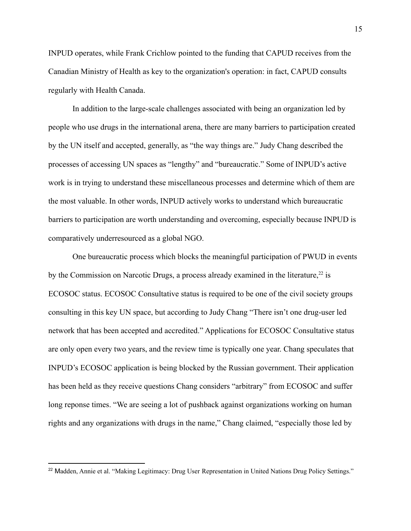INPUD operates, while Frank Crichlow pointed to the funding that CAPUD receives from the Canadian Ministry of Health as key to the organization's operation: in fact, CAPUD consults regularly with Health Canada.

In addition to the large-scale challenges associated with being an organization led by people who use drugs in the international arena, there are many barriers to participation created by the UN itself and accepted, generally, as "the way things are." Judy Chang described the processes of accessing UN spaces as "lengthy" and "bureaucratic." Some of INPUD's active work is in trying to understand these miscellaneous processes and determine which of them are the most valuable. In other words, INPUD actively works to understand which bureaucratic barriers to participation are worth understanding and overcoming, especially because INPUD is comparatively underresourced as a global NGO.

One bureaucratic process which blocks the meaningful participation of PWUD in events by the Commission on Narcotic Drugs, a process already examined in the literature, $22$  is ECOSOC status. ECOSOC Consultative status is required to be one of the civil society groups consulting in this key UN space, but according to Judy Chang "There isn't one drug-user led network that has been accepted and accredited." Applications for ECOSOC Consultative status are only open every two years, and the review time is typically one year. Chang speculates that INPUD's ECOSOC application is being blocked by the Russian government. Their application has been held as they receive questions Chang considers "arbitrary" from ECOSOC and suffer long reponse times. "We are seeing a lot of pushback against organizations working on human rights and any organizations with drugs in the name," Chang claimed, "especially those led by

<sup>&</sup>lt;sup>22</sup> Madden, Annie et al. "Making Legitimacy: Drug User Representation in United Nations Drug Policy Settings."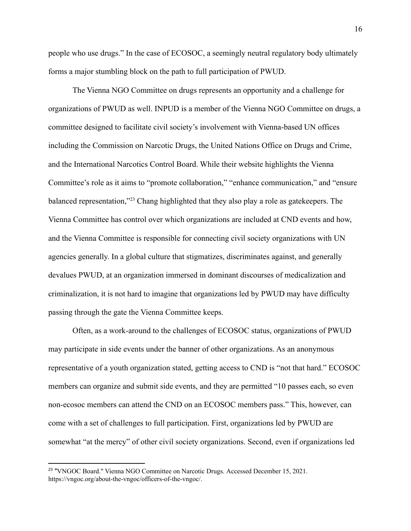people who use drugs." In the case of ECOSOC, a seemingly neutral regulatory body ultimately forms a major stumbling block on the path to full participation of PWUD.

The Vienna NGO Committee on drugs represents an opportunity and a challenge for organizations of PWUD as well. INPUD is a member of the Vienna NGO Committee on drugs, a committee designed to facilitate civil society's involvement with Vienna-based UN offices including the Commission on Narcotic Drugs, the United Nations Office on Drugs and Crime, and the International Narcotics Control Board. While their website highlights the Vienna Committee's role as it aims to "promote collaboration," "enhance communication," and "ensure balanced representation,"<sup>23</sup> Chang highlighted that they also play a role as gatekeepers. The Vienna Committee has control over which organizations are included at CND events and how, and the Vienna Committee is responsible for connecting civil society organizations with UN agencies generally. In a global culture that stigmatizes, discriminates against, and generally devalues PWUD, at an organization immersed in dominant discourses of medicalization and criminalization, it is not hard to imagine that organizations led by PWUD may have difficulty passing through the gate the Vienna Committee keeps.

Often, as a work-around to the challenges of ECOSOC status, organizations of PWUD may participate in side events under the banner of other organizations. As an anonymous representative of a youth organization stated, getting access to CND is "not that hard." ECOSOC members can organize and submit side events, and they are permitted "10 passes each, so even non-ecosoc members can attend the CND on an ECOSOC members pass." This, however, can come with a set of challenges to full participation. First, organizations led by PWUD are somewhat "at the mercy" of other civil society organizations. Second, even if organizations led

<sup>&</sup>lt;sup>23</sup> "VNGOC Board." Vienna NGO Committee on Narcotic Drugs. Accessed December 15, 2021. https://vngoc.org/about-the-vngoc/officers-of-the-vngoc/.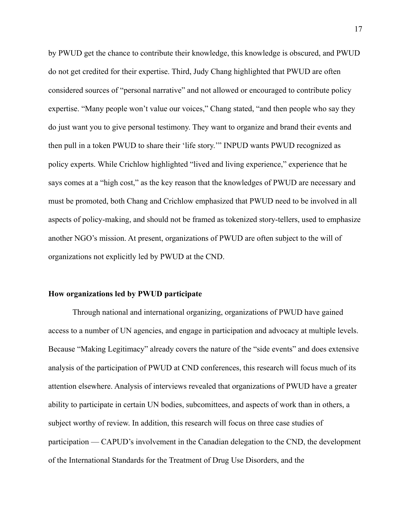by PWUD get the chance to contribute their knowledge, this knowledge is obscured, and PWUD do not get credited for their expertise. Third, Judy Chang highlighted that PWUD are often considered sources of "personal narrative" and not allowed or encouraged to contribute policy expertise. "Many people won't value our voices," Chang stated, "and then people who say they do just want you to give personal testimony. They want to organize and brand their events and then pull in a token PWUD to share their 'life story.'" INPUD wants PWUD recognized as policy experts. While Crichlow highlighted "lived and living experience," experience that he says comes at a "high cost," as the key reason that the knowledges of PWUD are necessary and must be promoted, both Chang and Crichlow emphasized that PWUD need to be involved in all aspects of policy-making, and should not be framed as tokenized story-tellers, used to emphasize another NGO's mission. At present, organizations of PWUD are often subject to the will of organizations not explicitly led by PWUD at the CND.

#### **How organizations led by PWUD participate**

Through national and international organizing, organizations of PWUD have gained access to a number of UN agencies, and engage in participation and advocacy at multiple levels. Because "Making Legitimacy" already covers the nature of the "side events" and does extensive analysis of the participation of PWUD at CND conferences, this research will focus much of its attention elsewhere. Analysis of interviews revealed that organizations of PWUD have a greater ability to participate in certain UN bodies, subcomittees, and aspects of work than in others, a subject worthy of review. In addition, this research will focus on three case studies of participation –– CAPUD's involvement in the Canadian delegation to the CND, the development of the International Standards for the Treatment of Drug Use Disorders, and the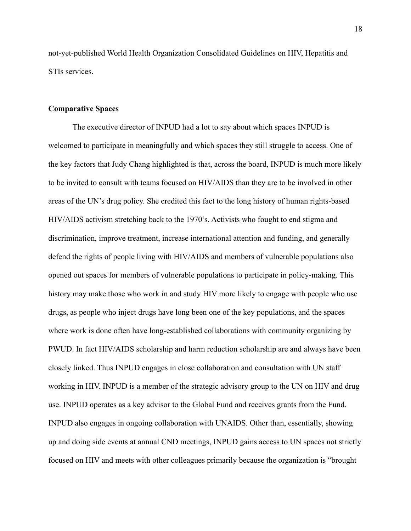not-yet-published World Health Organization Consolidated Guidelines on HIV, Hepatitis and STIs services.

#### **Comparative Spaces**

The executive director of INPUD had a lot to say about which spaces INPUD is welcomed to participate in meaningfully and which spaces they still struggle to access. One of the key factors that Judy Chang highlighted is that, across the board, INPUD is much more likely to be invited to consult with teams focused on HIV/AIDS than they are to be involved in other areas of the UN's drug policy. She credited this fact to the long history of human rights-based HIV/AIDS activism stretching back to the 1970's. Activists who fought to end stigma and discrimination, improve treatment, increase international attention and funding, and generally defend the rights of people living with HIV/AIDS and members of vulnerable populations also opened out spaces for members of vulnerable populations to participate in policy-making. This history may make those who work in and study HIV more likely to engage with people who use drugs, as people who inject drugs have long been one of the key populations, and the spaces where work is done often have long-established collaborations with community organizing by PWUD. In fact HIV/AIDS scholarship and harm reduction scholarship are and always have been closely linked. Thus INPUD engages in close collaboration and consultation with UN staff working in HIV. INPUD is a member of the strategic advisory group to the UN on HIV and drug use. INPUD operates as a key advisor to the Global Fund and receives grants from the Fund. INPUD also engages in ongoing collaboration with UNAIDS. Other than, essentially, showing up and doing side events at annual CND meetings, INPUD gains access to UN spaces not strictly focused on HIV and meets with other colleagues primarily because the organization is "brought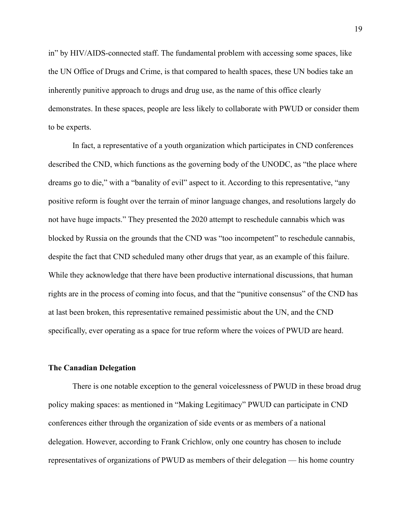in" by HIV/AIDS-connected staff. The fundamental problem with accessing some spaces, like the UN Office of Drugs and Crime, is that compared to health spaces, these UN bodies take an inherently punitive approach to drugs and drug use, as the name of this office clearly demonstrates. In these spaces, people are less likely to collaborate with PWUD or consider them to be experts.

In fact, a representative of a youth organization which participates in CND conferences described the CND, which functions as the governing body of the UNODC, as "the place where dreams go to die," with a "banality of evil" aspect to it. According to this representative, "any positive reform is fought over the terrain of minor language changes, and resolutions largely do not have huge impacts." They presented the 2020 attempt to reschedule cannabis which was blocked by Russia on the grounds that the CND was "too incompetent" to reschedule cannabis, despite the fact that CND scheduled many other drugs that year, as an example of this failure. While they acknowledge that there have been productive international discussions, that human rights are in the process of coming into focus, and that the "punitive consensus" of the CND has at last been broken, this representative remained pessimistic about the UN, and the CND specifically, ever operating as a space for true reform where the voices of PWUD are heard.

#### **The Canadian Delegation**

There is one notable exception to the general voicelessness of PWUD in these broad drug policy making spaces: as mentioned in "Making Legitimacy" PWUD can participate in CND conferences either through the organization of side events or as members of a national delegation. However, according to Frank Crichlow, only one country has chosen to include representatives of organizations of PWUD as members of their delegation –– his home country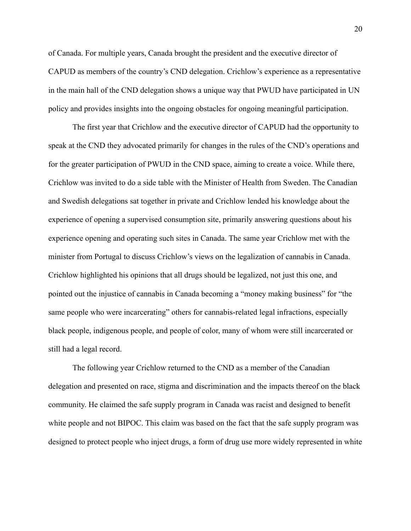of Canada. For multiple years, Canada brought the president and the executive director of CAPUD as members of the country's CND delegation. Crichlow's experience as a representative in the main hall of the CND delegation shows a unique way that PWUD have participated in UN policy and provides insights into the ongoing obstacles for ongoing meaningful participation.

The first year that Crichlow and the executive director of CAPUD had the opportunity to speak at the CND they advocated primarily for changes in the rules of the CND's operations and for the greater participation of PWUD in the CND space, aiming to create a voice. While there, Crichlow was invited to do a side table with the Minister of Health from Sweden. The Canadian and Swedish delegations sat together in private and Crichlow lended his knowledge about the experience of opening a supervised consumption site, primarily answering questions about his experience opening and operating such sites in Canada. The same year Crichlow met with the minister from Portugal to discuss Crichlow's views on the legalization of cannabis in Canada. Crichlow highlighted his opinions that all drugs should be legalized, not just this one, and pointed out the injustice of cannabis in Canada becoming a "money making business" for "the same people who were incarcerating" others for cannabis-related legal infractions, especially black people, indigenous people, and people of color, many of whom were still incarcerated or still had a legal record.

The following year Crichlow returned to the CND as a member of the Canadian delegation and presented on race, stigma and discrimination and the impacts thereof on the black community. He claimed the safe supply program in Canada was racist and designed to benefit white people and not BIPOC. This claim was based on the fact that the safe supply program was designed to protect people who inject drugs, a form of drug use more widely represented in white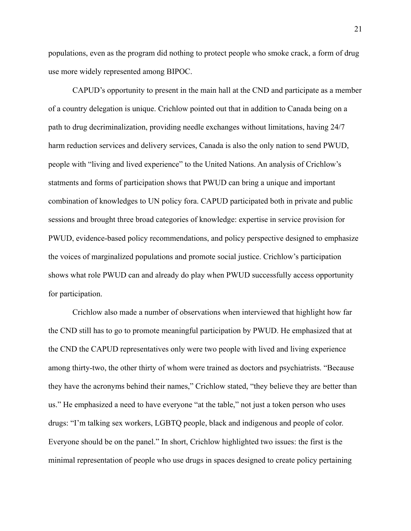populations, even as the program did nothing to protect people who smoke crack, a form of drug use more widely represented among BIPOC.

CAPUD's opportunity to present in the main hall at the CND and participate as a member of a country delegation is unique. Crichlow pointed out that in addition to Canada being on a path to drug decriminalization, providing needle exchanges without limitations, having 24/7 harm reduction services and delivery services, Canada is also the only nation to send PWUD, people with "living and lived experience" to the United Nations. An analysis of Crichlow's statments and forms of participation shows that PWUD can bring a unique and important combination of knowledges to UN policy fora. CAPUD participated both in private and public sessions and brought three broad categories of knowledge: expertise in service provision for PWUD, evidence-based policy recommendations, and policy perspective designed to emphasize the voices of marginalized populations and promote social justice. Crichlow's participation shows what role PWUD can and already do play when PWUD successfully access opportunity for participation.

Crichlow also made a number of observations when interviewed that highlight how far the CND still has to go to promote meaningful participation by PWUD. He emphasized that at the CND the CAPUD representatives only were two people with lived and living experience among thirty-two, the other thirty of whom were trained as doctors and psychiatrists. "Because they have the acronyms behind their names," Crichlow stated, "they believe they are better than us." He emphasized a need to have everyone "at the table," not just a token person who uses drugs: "I'm talking sex workers, LGBTQ people, black and indigenous and people of color. Everyone should be on the panel." In short, Crichlow highlighted two issues: the first is the minimal representation of people who use drugs in spaces designed to create policy pertaining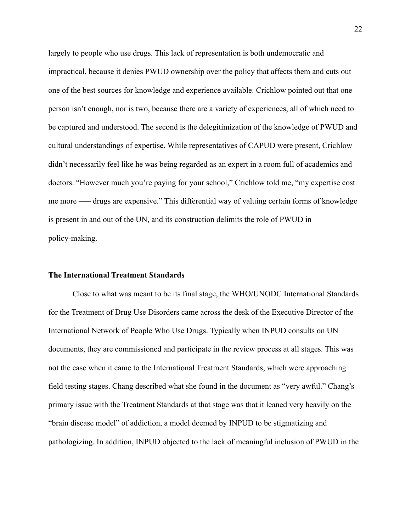largely to people who use drugs. This lack of representation is both undemocratic and impractical, because it denies PWUD ownership over the policy that affects them and cuts out one of the best sources for knowledge and experience available. Crichlow pointed out that one person isn't enough, nor is two, because there are a variety of experiences, all of which need to be captured and understood. The second is the delegitimization of the knowledge of PWUD and cultural understandings of expertise. While representatives of CAPUD were present, Crichlow didn't necessarily feel like he was being regarded as an expert in a room full of academics and doctors. "However much you're paying for your school," Crichlow told me, "my expertise cost me more —– drugs are expensive." This differential way of valuing certain forms of knowledge is present in and out of the UN, and its construction delimits the role of PWUD in policy-making.

#### **The International Treatment Standards**

Close to what was meant to be its final stage, the WHO/UNODC International Standards for the Treatment of Drug Use Disorders came across the desk of the Executive Director of the International Network of People Who Use Drugs. Typically when INPUD consults on UN documents, they are commissioned and participate in the review process at all stages. This was not the case when it came to the International Treatment Standards, which were approaching field testing stages. Chang described what she found in the document as "very awful." Chang's primary issue with the Treatment Standards at that stage was that it leaned very heavily on the "brain disease model" of addiction, a model deemed by INPUD to be stigmatizing and pathologizing. In addition, INPUD objected to the lack of meaningful inclusion of PWUD in the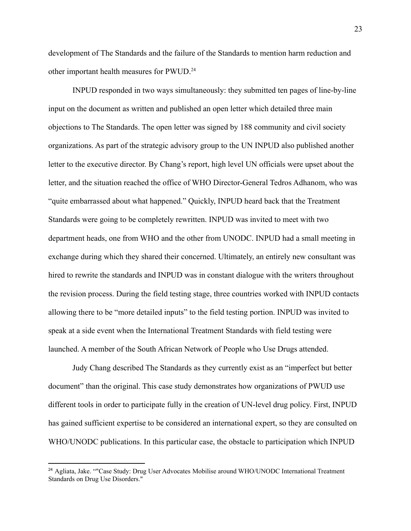development of The Standards and the failure of the Standards to mention harm reduction and other important health measures for PWUD.<sup>24</sup>

INPUD responded in two ways simultaneously: they submitted ten pages of line-by-line input on the document as written and published an open letter which detailed three main objections to The Standards. The open letter was signed by 188 community and civil society organizations. As part of the strategic advisory group to the UN INPUD also published another letter to the executive director. By Chang's report, high level UN officials were upset about the letter, and the situation reached the office of WHO Director-General Tedros Adhanom, who was "quite embarrassed about what happened." Quickly, INPUD heard back that the Treatment Standards were going to be completely rewritten. INPUD was invited to meet with two department heads, one from WHO and the other from UNODC. INPUD had a small meeting in exchange during which they shared their concerned. Ultimately, an entirely new consultant was hired to rewrite the standards and INPUD was in constant dialogue with the writers throughout the revision process. During the field testing stage, three countries worked with INPUD contacts allowing there to be "more detailed inputs" to the field testing portion. INPUD was invited to speak at a side event when the International Treatment Standards with field testing were launched. A member of the South African Network of People who Use Drugs attended.

Judy Chang described The Standards as they currently exist as an "imperfect but better document" than the original. This case study demonstrates how organizations of PWUD use different tools in order to participate fully in the creation of UN-level drug policy. First, INPUD has gained sufficient expertise to be considered an international expert, so they are consulted on WHO/UNODC publications. In this particular case, the obstacle to participation which INPUD

<sup>&</sup>lt;sup>24</sup> Agliata, Jake. ""Case Study: Drug User Advocates Mobilise around WHO/UNODC International Treatment Standards on Drug Use Disorders."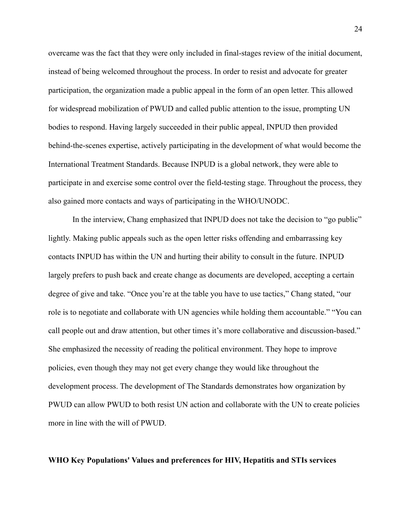overcame was the fact that they were only included in final-stages review of the initial document, instead of being welcomed throughout the process. In order to resist and advocate for greater participation, the organization made a public appeal in the form of an open letter. This allowed for widespread mobilization of PWUD and called public attention to the issue, prompting UN bodies to respond. Having largely succeeded in their public appeal, INPUD then provided behind-the-scenes expertise, actively participating in the development of what would become the International Treatment Standards. Because INPUD is a global network, they were able to participate in and exercise some control over the field-testing stage. Throughout the process, they also gained more contacts and ways of participating in the WHO/UNODC.

In the interview, Chang emphasized that INPUD does not take the decision to "go public" lightly. Making public appeals such as the open letter risks offending and embarrassing key contacts INPUD has within the UN and hurting their ability to consult in the future. INPUD largely prefers to push back and create change as documents are developed, accepting a certain degree of give and take. "Once you're at the table you have to use tactics," Chang stated, "our role is to negotiate and collaborate with UN agencies while holding them accountable." "You can call people out and draw attention, but other times it's more collaborative and discussion-based." She emphasized the necessity of reading the political environment. They hope to improve policies, even though they may not get every change they would like throughout the development process. The development of The Standards demonstrates how organization by PWUD can allow PWUD to both resist UN action and collaborate with the UN to create policies more in line with the will of PWUD.

#### **WHO Key Populations' Values and preferences for HIV, Hepatitis and STIs services**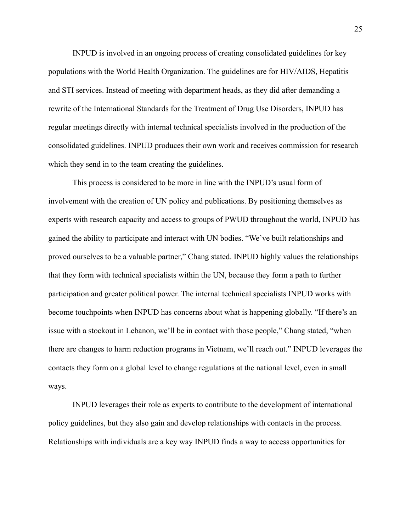INPUD is involved in an ongoing process of creating consolidated guidelines for key populations with the World Health Organization. The guidelines are for HIV/AIDS, Hepatitis and STI services. Instead of meeting with department heads, as they did after demanding a rewrite of the International Standards for the Treatment of Drug Use Disorders, INPUD has regular meetings directly with internal technical specialists involved in the production of the consolidated guidelines. INPUD produces their own work and receives commission for research which they send in to the team creating the guidelines.

This process is considered to be more in line with the INPUD's usual form of involvement with the creation of UN policy and publications. By positioning themselves as experts with research capacity and access to groups of PWUD throughout the world, INPUD has gained the ability to participate and interact with UN bodies. "We've built relationships and proved ourselves to be a valuable partner," Chang stated. INPUD highly values the relationships that they form with technical specialists within the UN, because they form a path to further participation and greater political power. The internal technical specialists INPUD works with become touchpoints when INPUD has concerns about what is happening globally. "If there's an issue with a stockout in Lebanon, we'll be in contact with those people," Chang stated, "when there are changes to harm reduction programs in Vietnam, we'll reach out." INPUD leverages the contacts they form on a global level to change regulations at the national level, even in small ways.

INPUD leverages their role as experts to contribute to the development of international policy guidelines, but they also gain and develop relationships with contacts in the process. Relationships with individuals are a key way INPUD finds a way to access opportunities for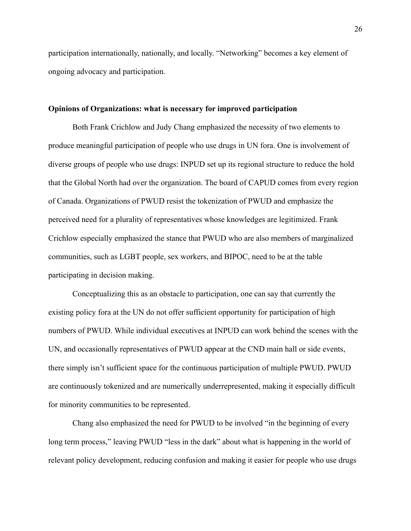participation internationally, nationally, and locally. "Networking" becomes a key element of ongoing advocacy and participation.

#### **Opinions of Organizations: what is necessary for improved participation**

Both Frank Crichlow and Judy Chang emphasized the necessity of two elements to produce meaningful participation of people who use drugs in UN fora. One is involvement of diverse groups of people who use drugs: INPUD set up its regional structure to reduce the hold that the Global North had over the organization. The board of CAPUD comes from every region of Canada. Organizations of PWUD resist the tokenization of PWUD and emphasize the perceived need for a plurality of representatives whose knowledges are legitimized. Frank Crichlow especially emphasized the stance that PWUD who are also members of marginalized communities, such as LGBT people, sex workers, and BIPOC, need to be at the table participating in decision making.

Conceptualizing this as an obstacle to participation, one can say that currently the existing policy fora at the UN do not offer sufficient opportunity for participation of high numbers of PWUD. While individual executives at INPUD can work behind the scenes with the UN, and occasionally representatives of PWUD appear at the CND main hall or side events, there simply isn't sufficient space for the continuous participation of multiple PWUD. PWUD are continuously tokenized and are numerically underrepresented, making it especially difficult for minority communities to be represented.

Chang also emphasized the need for PWUD to be involved "in the beginning of every long term process," leaving PWUD "less in the dark" about what is happening in the world of relevant policy development, reducing confusion and making it easier for people who use drugs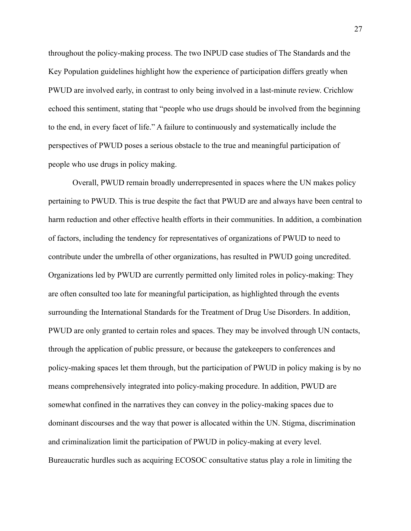throughout the policy-making process. The two INPUD case studies of The Standards and the Key Population guidelines highlight how the experience of participation differs greatly when PWUD are involved early, in contrast to only being involved in a last-minute review. Crichlow echoed this sentiment, stating that "people who use drugs should be involved from the beginning to the end, in every facet of life." A failure to continuously and systematically include the perspectives of PWUD poses a serious obstacle to the true and meaningful participation of people who use drugs in policy making.

Overall, PWUD remain broadly underrepresented in spaces where the UN makes policy pertaining to PWUD. This is true despite the fact that PWUD are and always have been central to harm reduction and other effective health efforts in their communities. In addition, a combination of factors, including the tendency for representatives of organizations of PWUD to need to contribute under the umbrella of other organizations, has resulted in PWUD going uncredited. Organizations led by PWUD are currently permitted only limited roles in policy-making: They are often consulted too late for meaningful participation, as highlighted through the events surrounding the International Standards for the Treatment of Drug Use Disorders. In addition, PWUD are only granted to certain roles and spaces. They may be involved through UN contacts, through the application of public pressure, or because the gatekeepers to conferences and policy-making spaces let them through, but the participation of PWUD in policy making is by no means comprehensively integrated into policy-making procedure. In addition, PWUD are somewhat confined in the narratives they can convey in the policy-making spaces due to dominant discourses and the way that power is allocated within the UN. Stigma, discrimination and criminalization limit the participation of PWUD in policy-making at every level. Bureaucratic hurdles such as acquiring ECOSOC consultative status play a role in limiting the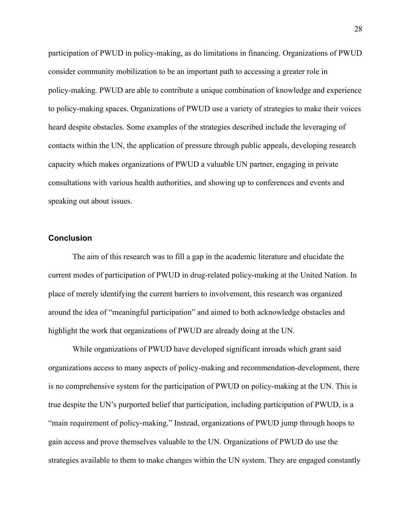participation of PWUD in policy-making, as do limitations in financing. Organizations of PWUD consider community mobilization to be an important path to accessing a greater role in policy-making. PWUD are able to contribute a unique combination of knowledge and experience to policy-making spaces. Organizations of PWUD use a variety of strategies to make their voices heard despite obstacles. Some examples of the strategies described include the leveraging of contacts within the UN, the application of pressure through public appeals, developing research capacity which makes organizations of PWUD a valuable UN partner, engaging in private consultations with various health authorities, and showing up to conferences and events and speaking out about issues.

# **Conclusion**

The aim of this research was to fill a gap in the academic literature and elucidate the current modes of participation of PWUD in drug-related policy-making at the United Nation. In place of merely identifying the current barriers to involvement, this research was organized around the idea of "meaningful participation" and aimed to both acknowledge obstacles and highlight the work that organizations of PWUD are already doing at the UN.

While organizations of PWUD have developed significant inroads which grant said organizations access to many aspects of policy-making and recommendation-development, there is no comprehensive system for the participation of PWUD on policy-making at the UN. This is true despite the UN's purported belief that participation, including participation of PWUD, is a "main requirement of policy-making." Instead, organizations of PWUD jump through hoops to gain access and prove themselves valuable to the UN. Organizations of PWUD do use the strategies available to them to make changes within the UN system. They are engaged constantly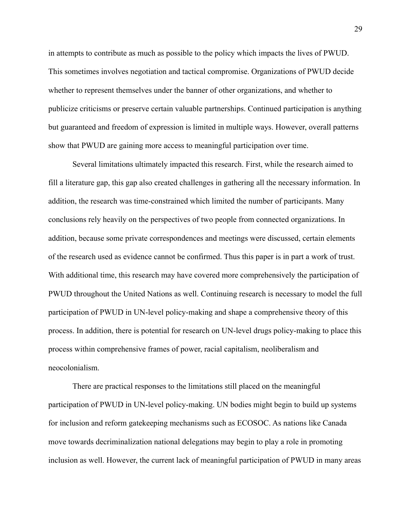in attempts to contribute as much as possible to the policy which impacts the lives of PWUD. This sometimes involves negotiation and tactical compromise. Organizations of PWUD decide whether to represent themselves under the banner of other organizations, and whether to publicize criticisms or preserve certain valuable partnerships. Continued participation is anything but guaranteed and freedom of expression is limited in multiple ways. However, overall patterns show that PWUD are gaining more access to meaningful participation over time.

Several limitations ultimately impacted this research. First, while the research aimed to fill a literature gap, this gap also created challenges in gathering all the necessary information. In addition, the research was time-constrained which limited the number of participants. Many conclusions rely heavily on the perspectives of two people from connected organizations. In addition, because some private correspondences and meetings were discussed, certain elements of the research used as evidence cannot be confirmed. Thus this paper is in part a work of trust. With additional time, this research may have covered more comprehensively the participation of PWUD throughout the United Nations as well. Continuing research is necessary to model the full participation of PWUD in UN-level policy-making and shape a comprehensive theory of this process. In addition, there is potential for research on UN-level drugs policy-making to place this process within comprehensive frames of power, racial capitalism, neoliberalism and neocolonialism.

There are practical responses to the limitations still placed on the meaningful participation of PWUD in UN-level policy-making. UN bodies might begin to build up systems for inclusion and reform gatekeeping mechanisms such as ECOSOC. As nations like Canada move towards decriminalization national delegations may begin to play a role in promoting inclusion as well. However, the current lack of meaningful participation of PWUD in many areas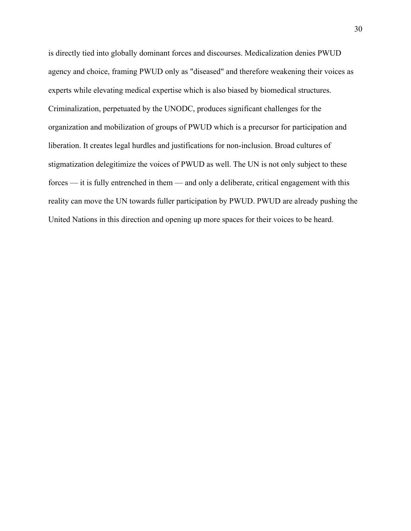is directly tied into globally dominant forces and discourses. Medicalization denies PWUD agency and choice, framing PWUD only as "diseased" and therefore weakening their voices as experts while elevating medical expertise which is also biased by biomedical structures. Criminalization, perpetuated by the UNODC, produces significant challenges for the organization and mobilization of groups of PWUD which is a precursor for participation and liberation. It creates legal hurdles and justifications for non-inclusion. Broad cultures of stigmatization delegitimize the voices of PWUD as well. The UN is not only subject to these forces — it is fully entrenched in them — and only a deliberate, critical engagement with this reality can move the UN towards fuller participation by PWUD. PWUD are already pushing the United Nations in this direction and opening up more spaces for their voices to be heard.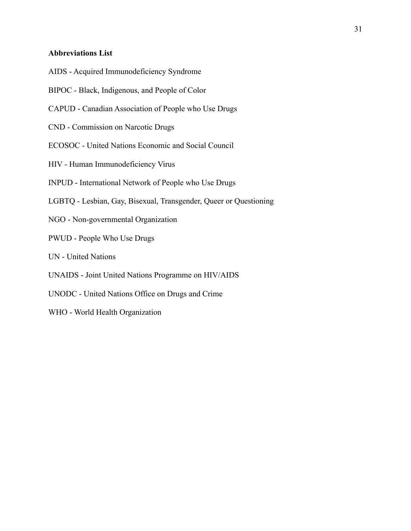# **Abbreviations List**

- AIDS Acquired Immunodeficiency Syndrome
- BIPOC Black, Indigenous, and People of Color
- CAPUD Canadian Association of People who Use Drugs
- CND Commission on Narcotic Drugs
- ECOSOC United Nations Economic and Social Council
- HIV Human Immunodeficiency Virus
- INPUD International Network of People who Use Drugs
- LGBTQ Lesbian, Gay, Bisexual, Transgender, Queer or Questioning
- NGO Non-governmental Organization
- PWUD People Who Use Drugs
- UN United Nations
- UNAIDS Joint United Nations Programme on HIV/AIDS
- UNODC United Nations Office on Drugs and Crime
- WHO World Health Organization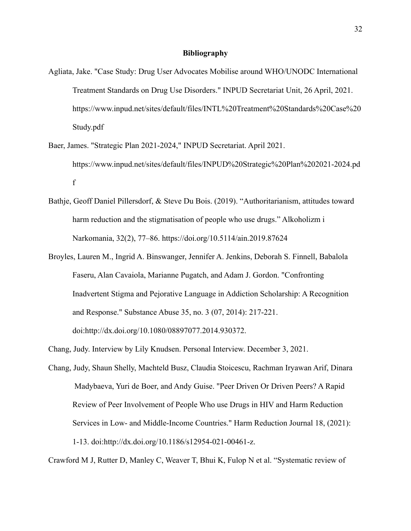- Agliata, Jake. "Case Study: Drug User Advocates Mobilise around WHO/UNODC International Treatment Standards on Drug Use Disorders." INPUD Secretariat Unit, 26 April, 2021. https://www.inpud.net/sites/default/files/INTL%20Treatment%20Standards%20Case%20 Study.pdf
- Baer, James. "Strategic Plan 2021-2024," INPUD Secretariat. April 2021. https://www.inpud.net/sites/default/files/INPUD%20Strategic%20Plan%202021-2024.pd f
- Bathje, Geoff Daniel Pillersdorf, & Steve Du Bois. (2019). "Authoritarianism, attitudes toward harm reduction and the stigmatisation of people who use drugs." Alkoholizm i Narkomania, 32(2), 77–86. https://doi.org/10.5114/ain.2019.87624
- Broyles, Lauren M., Ingrid A. Binswanger, Jennifer A. Jenkins, Deborah S. Finnell, Babalola Faseru, Alan Cavaiola, Marianne Pugatch, and Adam J. Gordon. "Confronting Inadvertent Stigma and Pejorative Language in Addiction Scholarship: A Recognition and Response." Substance Abuse 35, no. 3 (07, 2014): 217-221. doi:http://dx.doi.org/10.1080/08897077.2014.930372.
- Chang, Judy. Interview by Lily Knudsen. Personal Interview. December 3, 2021.
- Chang, Judy, Shaun Shelly, Machteld Busz, Claudia Stoicescu, Rachman Iryawan Arif, Dinara Madybaeva, Yuri de Boer, and Andy Guise. "Peer Driven Or Driven Peers? A Rapid Review of Peer Involvement of People Who use Drugs in HIV and Harm Reduction Services in Low- and Middle-Income Countries." Harm Reduction Journal 18, (2021): 1-13. doi:http://dx.doi.org/10.1186/s12954-021-00461-z.

Crawford M J, Rutter D, Manley C, Weaver T, Bhui K, Fulop N et al. "Systematic review of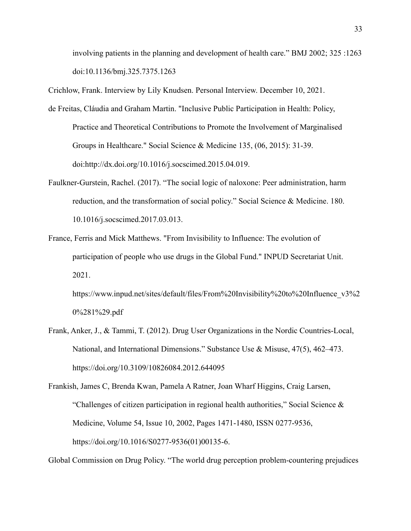involving patients in the planning and development of health care." BMJ 2002; 325 :1263 doi:10.1136/bmj.325.7375.1263

Crichlow, Frank. Interview by Lily Knudsen. Personal Interview. December 10, 2021.

- de Freitas, Cláudia and Graham Martin. "Inclusive Public Participation in Health: Policy, Practice and Theoretical Contributions to Promote the Involvement of Marginalised Groups in Healthcare." Social Science & Medicine 135, (06, 2015): 31-39. doi:http://dx.doi.org/10.1016/j.socscimed.2015.04.019.
- Faulkner-Gurstein, Rachel. (2017). "The social logic of naloxone: Peer administration, harm reduction, and the transformation of social policy." Social Science & Medicine. 180. 10.1016/j.socscimed.2017.03.013.
- France, Ferris and Mick Matthews. "From Invisibility to Influence: The evolution of participation of people who use drugs in the Global Fund." INPUD Secretariat Unit. 2021.

https://www.inpud.net/sites/default/files/From%20Invisibility%20to%20Influence\_v3%2 0%281%29.pdf

Frank, Anker, J., & Tammi, T. (2012). Drug User Organizations in the Nordic Countries-Local, National, and International Dimensions." Substance Use & Misuse, 47(5), 462–473. https://doi.org/10.3109/10826084.2012.644095

```
Frankish, James C, Brenda Kwan, Pamela A Ratner, Joan Wharf Higgins, Craig Larsen,
"Challenges of citizen participation in regional health authorities," Social Science \&Medicine, Volume 54, Issue 10, 2002, Pages 1471-1480, ISSN 0277-9536,
https://doi.org/10.1016/S0277-9536(01)00135-6.
```
Global Commission on Drug Policy. "The world drug perception problem-countering prejudices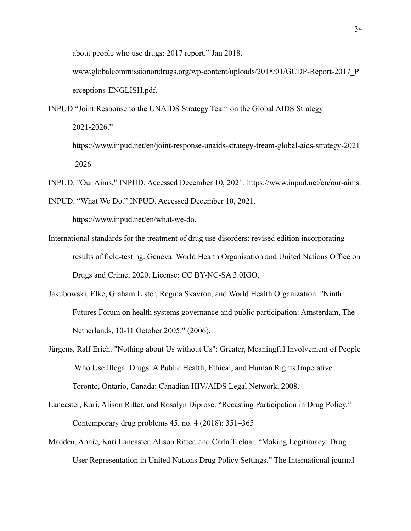about people who use drugs: 2017 report." Jan 2018.

www.globalcommissionondrugs.org/wp-content/uploads/2018/01/GCDP-Report-2017\_P erceptions-ENGLISH.pdf.

INPUD "Joint Response to the UNAIDS Strategy Team on the Global AIDS Strategy 2021-2026." https://www.inpud.net/en/joint-response-unaids-strategy-tream-global-aids-strategy-2021

-2026

INPUD. "Our Aims." INPUD. Accessed December 10, 2021. https://www.inpud.net/en/our-aims.

INPUD. "What We Do." INPUD. Accessed December 10, 2021.

https://www.inpud.net/en/what-we-do.

- International standards for the treatment of drug use disorders: revised edition incorporating results of field-testing. Geneva: World Health Organization and United Nations Office on Drugs and Crime; 2020. License: CC BY-NC-SA 3.0IGO.
- Jakubowski, Elke, Graham Lister, Regina Skavron, and World Health Organization. "Ninth Futures Forum on health systems governance and public participation: Amsterdam, The Netherlands, 10-11 October 2005." (2006).
- Jürgens, Ralf Erich. "Nothing about Us without Us": Greater, Meaningful Involvement of People Who Use Illegal Drugs: A Public Health, Ethical, and Human Rights Imperative. Toronto, Ontario, Canada: Canadian HIV/AIDS Legal Network, 2008.
- Lancaster, Kari, Alison Ritter, and Rosalyn Diprose. "Recasting Participation in Drug Policy." Contemporary drug problems 45, no. 4 (2018): 351–365
- Madden, Annie, Kari Lancaster, Alison Ritter, and Carla Treloar. "Making Legitimacy: Drug User Representation in United Nations Drug Policy Settings." The International journal